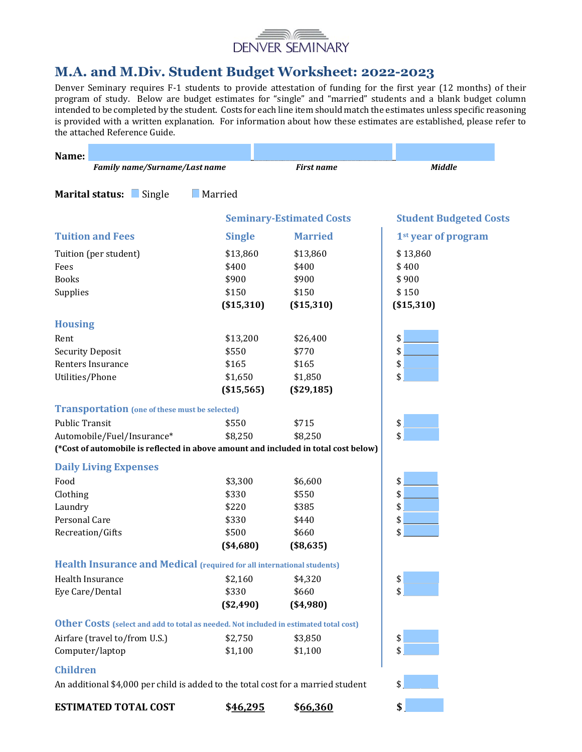

# M.A. and M.Div. Student Budget Worksheet: 2022-2023

Denver Seminary requires F-1 students to provide attestation of funding for the first year (12 months) of their program of study. Below are budget estimates for "single" and "married" students and a blank budget column intended to be completed by the student. Costs for each line item should match the estimates unless specific reasoning is provided with a written explanation. For information about how these estimates are established, please refer to the attached Reference Guide.

| Name:                                                                                        |                |                                 |                                 |
|----------------------------------------------------------------------------------------------|----------------|---------------------------------|---------------------------------|
| Family name/Surname/Last name                                                                |                | <b>First name</b>               | Middle                          |
| Marital status: Single                                                                       | $\Box$ Married |                                 |                                 |
|                                                                                              |                |                                 |                                 |
|                                                                                              |                | <b>Seminary-Estimated Costs</b> | <b>Student Budgeted Costs</b>   |
| <b>Tuition and Fees</b>                                                                      | <b>Single</b>  | <b>Married</b>                  | 1 <sup>st</sup> year of program |
| Tuition (per student)                                                                        | \$13,860       | \$13,860                        | \$13,860                        |
| Fees                                                                                         | \$400          | \$400                           | \$400                           |
| <b>Books</b>                                                                                 | \$900          | \$900                           | \$900                           |
| Supplies                                                                                     | \$150          | \$150                           | \$150                           |
|                                                                                              | ( \$15,310)    | ( \$15,310)                     | ( \$15,310)                     |
| <b>Housing</b>                                                                               |                |                                 |                                 |
| Rent                                                                                         | \$13,200       | \$26,400                        | \$                              |
| <b>Security Deposit</b>                                                                      | \$550          | \$770                           | \$                              |
| Renters Insurance                                                                            | \$165          | \$165                           | \$                              |
| Utilities/Phone                                                                              | \$1,650        | \$1,850                         | \$                              |
|                                                                                              | ( \$15,565)    | (\$29,185)                      |                                 |
| <b>Transportation</b> (one of these must be selected)                                        |                |                                 |                                 |
| <b>Public Transit</b>                                                                        | \$550          | \$715                           | \$                              |
| Automobile/Fuel/Insurance*                                                                   | \$8,250        | \$8,250                         | \$                              |
| (*Cost of automobile is reflected in above amount and included in total cost below)          |                |                                 |                                 |
| <b>Daily Living Expenses</b>                                                                 |                |                                 |                                 |
| Food                                                                                         | \$3,300        | \$6,600                         | \$                              |
| Clothing                                                                                     | \$330          | \$550                           | \$                              |
| Laundry                                                                                      | \$220          | \$385                           | \$                              |
| Personal Care                                                                                | \$330          | \$440                           | \$                              |
| Recreation/Gifts                                                                             | \$500          | \$660                           | \$                              |
|                                                                                              | $(*4,680)$     | (\$8,635)                       |                                 |
| Health Insurance and Medical (required for all international students)                       |                |                                 |                                 |
| Health Insurance                                                                             | \$2,160        | \$4,320                         | \$                              |
| Eye Care/Dental                                                                              | \$330          | \$660                           | \$                              |
|                                                                                              | (\$2,490)      | ( \$4,980)                      |                                 |
| <b>Other Costs</b> (select and add to total as needed. Not included in estimated total cost) |                |                                 |                                 |
| Airfare (travel to/from U.S.)                                                                | \$2,750        | \$3,850                         | \$                              |
| Computer/laptop                                                                              | \$1,100        | \$1,100                         | \$                              |
| <b>Children</b>                                                                              |                |                                 |                                 |
| An additional \$4,000 per child is added to the total cost for a married student             |                |                                 | \$                              |
| <b>ESTIMATED TOTAL COST</b>                                                                  | \$46,295       | \$66,360                        | \$                              |